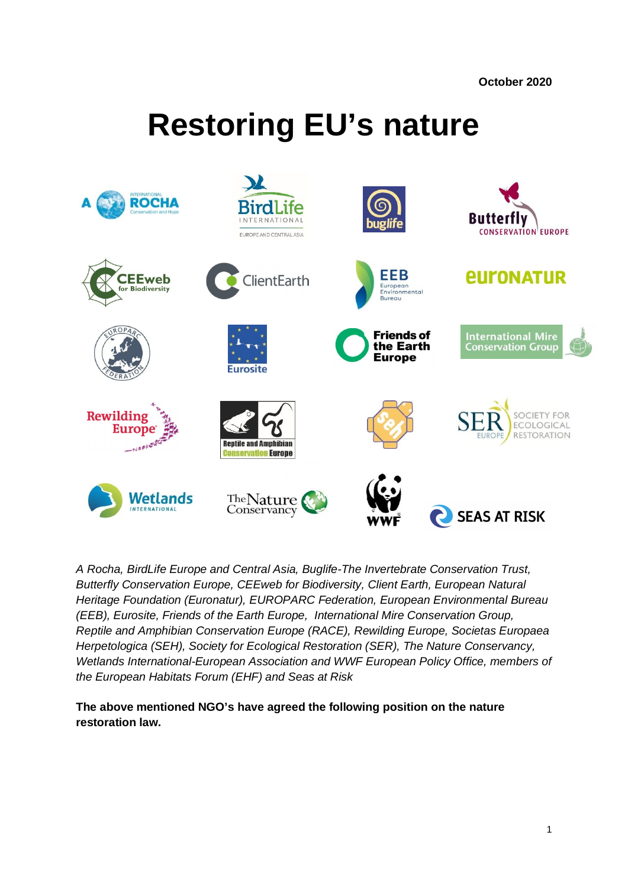**October 2020**

# **Restoring EU's nature**



*A Rocha, BirdLife Europe and Central Asia, Buglife-The Invertebrate Conservation Trust, Butterfly Conservation Europe, CEEweb for Biodiversity, Client Earth, European Natural Heritage Foundation (Euronatur), EUROPARC Federation, European Environmental Bureau (EEB), Eurosite, Friends of the Earth Europe, International Mire Conservation Group, Reptile and Amphibian Conservation Europe (RACE), Rewilding Europe, Societas Europaea Herpetologica (SEH), Society for Ecological Restoration (SER), The Nature Conservancy, Wetlands International-European Association and WWF European Policy Office, members of the European Habitats Forum (EHF) and Seas at Risk*

**The above mentioned NGO's have agreed the following position on the nature restoration law.**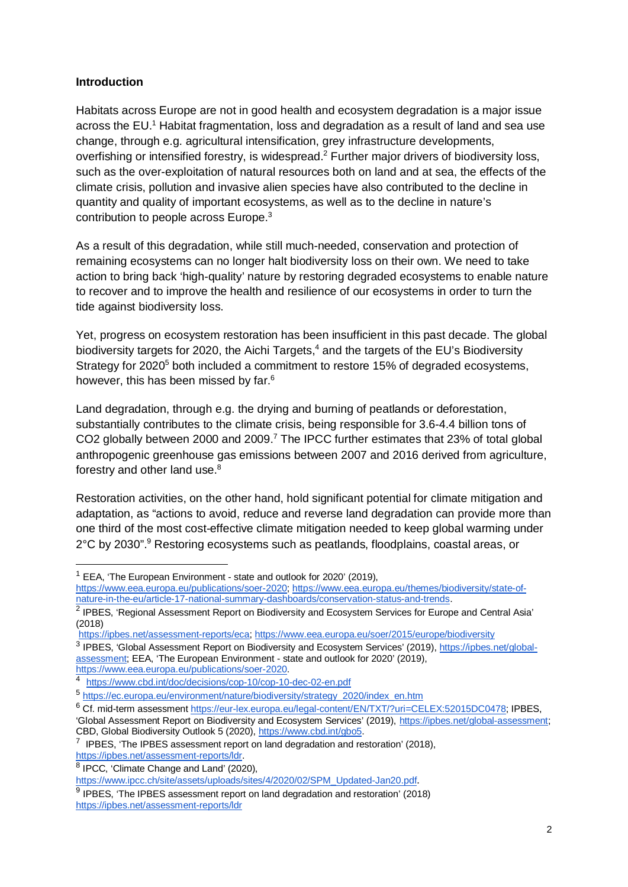#### **Introduction**

Habitats across Europe are not in good health and ecosystem degradation is a major issue across the EU.<sup>1</sup> Habitat fragmentation, loss and degradation as a result of land and sea use change, through e.g. agricultural intensification, grey infrastructure developments, overfishing or intensified forestry, is widespread.<sup>2</sup> Further major drivers of biodiversity loss, such as the over-exploitation of natural resources both on land and at sea, the effects of the climate crisis, pollution and invasive alien species have also contributed to the decline in quantity and quality of important ecosystems, as well as to the decline in nature's contribution to people across Europe.<sup>3</sup>

As a result of this degradation, while still much-needed, conservation and protection of remaining ecosystems can no longer halt biodiversity loss on their own. We need to take action to bring back 'high-quality' nature by restoring degraded ecosystems to enable nature to recover and to improve the health and resilience of our ecosystems in order to turn the tide against biodiversity loss.

Yet, progress on ecosystem restoration has been insufficient in this past decade. The global biodiversity targets for 2020, the Aichi Targets,<sup>4</sup> and the targets of the EU's Biodiversity Strategy for 2020<sup>5</sup> both included a commitment to restore 15% of degraded ecosystems, however, this has been missed by far.<sup>6</sup>

Land degradation, through e.g. the drying and burning of peatlands or deforestation, substantially contributes to the climate crisis, being responsible for 3.6-4.4 billion tons of CO2 globally between 2000 and 2009.<sup>7</sup> The IPCC further estimates that 23% of total global anthropogenic greenhouse gas emissions between 2007 and 2016 derived from agriculture, forestry and other land use.<sup>8</sup>

Restoration activities, on the other hand, hold significant potential for climate mitigation and adaptation, as "actions to avoid, reduce and reverse land degradation can provide more than one third of the most cost-effective climate mitigation needed to keep global warming under 2°C by 2030".<sup>9</sup> Restoring ecosystems such as peatlands, floodplains, coastal areas, or

https://www.eea.europa.eu/publications/soer-2020.

<sup>6</sup> Cf. mid-term assessment https://eur-lex.europa.eu/legal-content/EN/TXT/?uri=CELEX:52015DC0478; IPBES,

 $1$  EEA, 'The European Environment - state and outlook for 2020' (2019).

https://www.eea.europa.eu/publications/soer-2020; https://www.eea.europa.eu/themes/biodiversity/state-ofnature-in-the-eu/article-17-national-summary-dashboards/conservation-status-and-trends.

<sup>&</sup>lt;sup>2</sup> IPBES, 'Regional Assessment Report on Biodiversity and Ecosystem Services for Europe and Central Asia' (2018)

https://ipbes.net/assessment-reports/eca; https://www.eea.europa.eu/soer/2015/europe/biodiversity

<sup>&</sup>lt;sup>3</sup> IPBES, 'Global Assessment Report on Biodiversity and Ecosystem Services' (2019), https://ipbes.net/globalassessment; EEA, 'The European Environment - state and outlook for 2020' (2019),

<sup>4</sup> https://www.cbd.int/doc/decisions/cop-10/cop-10-dec-02-en.pdf

<sup>5</sup> https://ec.europa.eu/environment/nature/biodiversity/strategy\_2020/index\_en.htm

<sup>&#</sup>x27;Global Assessment Report on Biodiversity and Ecosystem Services' (2019), https://ipbes.net/global-assessment; CBD, Global Biodiversity Outlook 5 (2020), https://www.cbd.int/gbo5.

 $7$  IPBES, 'The IPBES assessment report on land degradation and restoration' (2018), https://ipbes.net/assessment-reports/ldr.

<sup>&</sup>lt;sup>8</sup> IPCC, 'Climate Change and Land' (2020),

https://www.ipcc.ch/site/assets/uploads/sites/4/2020/02/SPM\_Updated-Jan20.pdf.

 $9$  IPBES, 'The IPBES assessment report on land degradation and restoration' (2018) https://ipbes.net/assessment-reports/ldr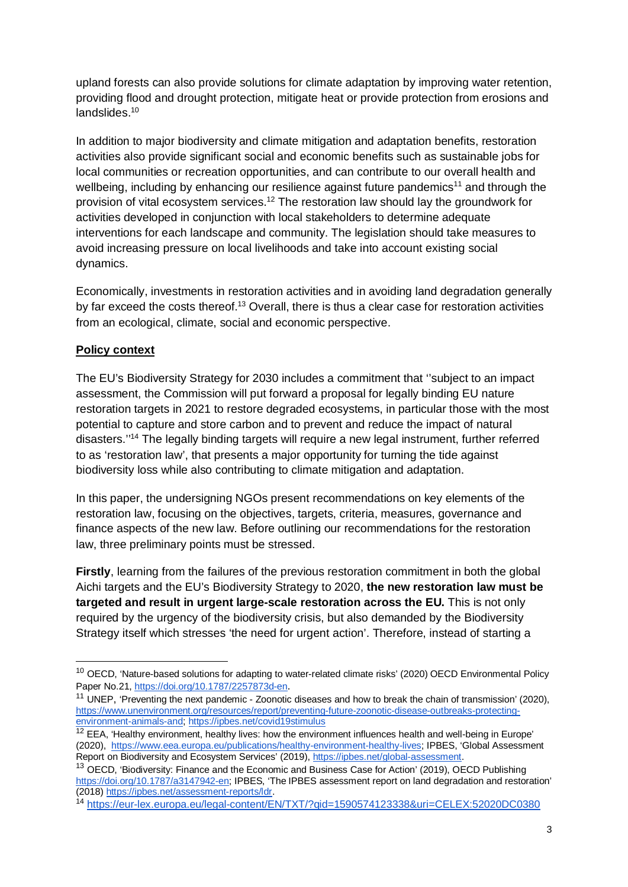upland forests can also provide solutions for climate adaptation by improving water retention, providing flood and drought protection, mitigate heat or provide protection from erosions and landslides.<sup>10</sup>

In addition to major biodiversity and climate mitigation and adaptation benefits, restoration activities also provide significant social and economic benefits such as sustainable jobs for local communities or recreation opportunities, and can contribute to our overall health and wellbeing, including by enhancing our resilience against future pandemics<sup>11</sup> and through the provision of vital ecosystem services.<sup>12</sup> The restoration law should lay the groundwork for activities developed in conjunction with local stakeholders to determine adequate interventions for each landscape and community. The legislation should take measures to avoid increasing pressure on local livelihoods and take into account existing social dynamics.

Economically, investments in restoration activities and in avoiding land degradation generally by far exceed the costs thereof.<sup>13</sup> Overall, there is thus a clear case for restoration activities from an ecological, climate, social and economic perspective.

## **Policy context**

The EU's Biodiversity Strategy for 2030 includes a commitment that ''subject to an impact assessment, the Commission will put forward a proposal for legally binding EU nature restoration targets in 2021 to restore degraded ecosystems, in particular those with the most potential to capture and store carbon and to prevent and reduce the impact of natural disasters.''<sup>14</sup> The legally binding targets will require a new legal instrument, further referred to as 'restoration law', that presents a major opportunity for turning the tide against biodiversity loss while also contributing to climate mitigation and adaptation.

In this paper, the undersigning NGOs present recommendations on key elements of the restoration law, focusing on the objectives, targets, criteria, measures, governance and finance aspects of the new law. Before outlining our recommendations for the restoration law, three preliminary points must be stressed.

**Firstly**, learning from the failures of the previous restoration commitment in both the global Aichi targets and the EU's Biodiversity Strategy to 2020, **the new restoration law must be targeted and result in urgent large-scale restoration across the EU.** This is not only required by the urgency of the biodiversity crisis, but also demanded by the Biodiversity Strategy itself which stresses 'the need for urgent action'. Therefore, instead of starting a

<sup>&</sup>lt;sup>10</sup> OECD, 'Nature-based solutions for adapting to water-related climate risks' (2020) OECD Environmental Policy Paper No.21, https://doi.org/10.1787/2257873d-en.

<sup>&</sup>lt;sup>11</sup> UNEP, 'Preventing the next pandemic - Zoonotic diseases and how to break the chain of transmission' (2020), https://www.unenvironment.org/resources/report/preventing-future-zoonotic-disease-outbreaks-protectingenvironment-animals-and; https://ipbes.net/covid19stimulus

 $12$  EEA. 'Healthy environment, healthy lives: how the environment influences health and well-being in Europe' (2020), https://www.eea.europa.eu/publications/healthy-environment-healthy-lives; IPBES, 'Global Assessment Report on Biodiversity and Ecosystem Services' (2019), https://ipbes.net/global-assessment.

<sup>&</sup>lt;sup>13</sup> OECD, 'Biodiversity: Finance and the Economic and Business Case for Action' (2019), OECD Publishing https://doi.org/10.1787/a3147942-en; IPBES, 'The IPBES assessment report on land degradation and restoration' (2018) https://ipbes.net/assessment-reports/ldr.

<sup>14</sup> https://eur-lex.europa.eu/legal-content/EN/TXT/?qid=1590574123338&uri=CELEX:52020DC0380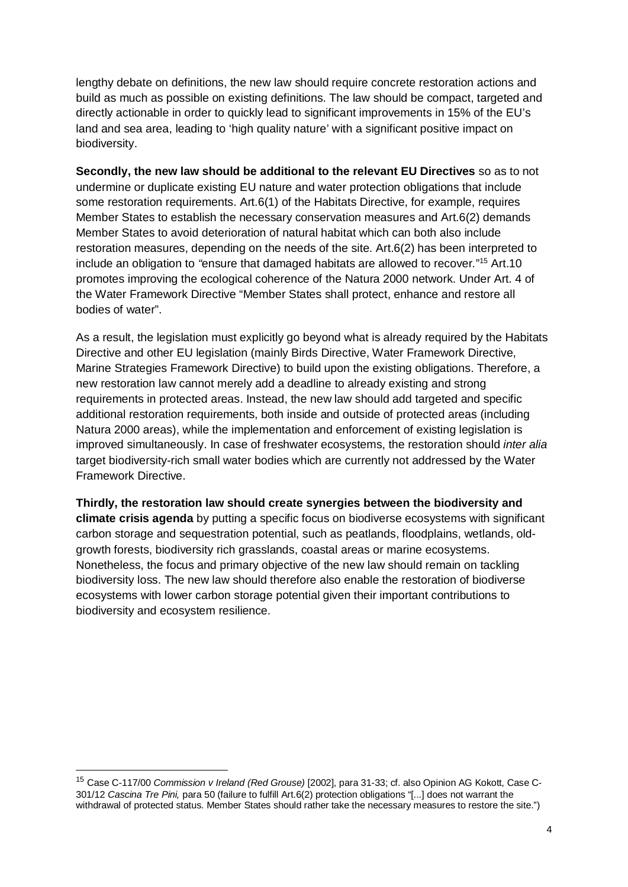lengthy debate on definitions, the new law should require concrete restoration actions and build as much as possible on existing definitions. The law should be compact, targeted and directly actionable in order to quickly lead to significant improvements in 15% of the EU's land and sea area, leading to 'high quality nature' with a significant positive impact on biodiversity.

**Secondly, the new law should be additional to the relevant EU Directives** so as to not undermine or duplicate existing EU nature and water protection obligations that include some restoration requirements. Art.6(1) of the Habitats Directive, for example, requires Member States to establish the necessary conservation measures and Art.6(2) demands Member States to avoid deterioration of natural habitat which can both also include restoration measures, depending on the needs of the site. Art.6(2) has been interpreted to include an obligation to *"*ensure that damaged habitats are allowed to recover*.*" <sup>15</sup> Art.10 promotes improving the ecological coherence of the Natura 2000 network. Under Art. 4 of the Water Framework Directive "Member States shall protect, enhance and restore all bodies of water".

As a result, the legislation must explicitly go beyond what is already required by the Habitats Directive and other EU legislation (mainly Birds Directive, Water Framework Directive, Marine Strategies Framework Directive) to build upon the existing obligations. Therefore, a new restoration law cannot merely add a deadline to already existing and strong requirements in protected areas. Instead, the new law should add targeted and specific additional restoration requirements, both inside and outside of protected areas (including Natura 2000 areas), while the implementation and enforcement of existing legislation is improved simultaneously. In case of freshwater ecosystems, the restoration should *inter alia* target biodiversity-rich small water bodies which are currently not addressed by the Water Framework Directive.

**Thirdly, the restoration law should create synergies between the biodiversity and climate crisis agenda** by putting a specific focus on biodiverse ecosystems with significant carbon storage and sequestration potential, such as peatlands, floodplains, wetlands, oldgrowth forests, biodiversity rich grasslands, coastal areas or marine ecosystems. Nonetheless, the focus and primary objective of the new law should remain on tackling biodiversity loss. The new law should therefore also enable the restoration of biodiverse ecosystems with lower carbon storage potential given their important contributions to biodiversity and ecosystem resilience.

<sup>15</sup> Case C-117/00 *Commission v Ireland (Red Grouse)* [2002], para 31-33; cf. also Opinion AG Kokott, Case C-301/12 *Cascina Tre Pini,* para 50 (failure to fulfill Art.6(2) protection obligations "[...] does not warrant the withdrawal of protected status. Member States should rather take the necessary measures to restore the site.")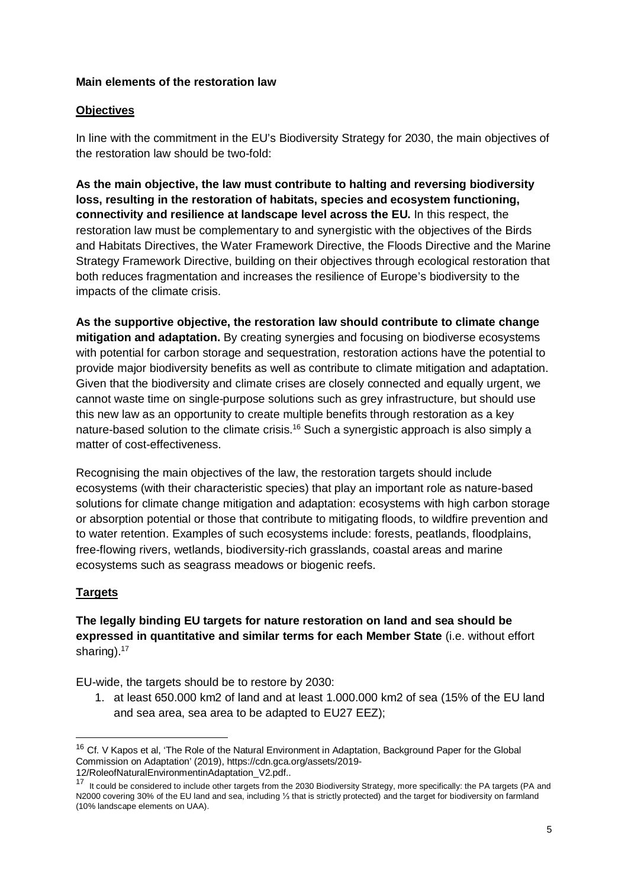#### **Main elements of the restoration law**

#### **Objectives**

In line with the commitment in the EU's Biodiversity Strategy for 2030, the main objectives of the restoration law should be two-fold:

**As the main objective, the law must contribute to halting and reversing biodiversity loss, resulting in the restoration of habitats, species and ecosystem functioning, connectivity and resilience at landscape level across the EU.** In this respect, the restoration law must be complementary to and synergistic with the objectives of the Birds and Habitats Directives, the Water Framework Directive, the Floods Directive and the Marine Strategy Framework Directive, building on their objectives through ecological restoration that both reduces fragmentation and increases the resilience of Europe's biodiversity to the impacts of the climate crisis.

**As the supportive objective, the restoration law should contribute to climate change mitigation and adaptation.** By creating synergies and focusing on biodiverse ecosystems with potential for carbon storage and sequestration, restoration actions have the potential to provide major biodiversity benefits as well as contribute to climate mitigation and adaptation. Given that the biodiversity and climate crises are closely connected and equally urgent, we cannot waste time on single-purpose solutions such as grey infrastructure, but should use this new law as an opportunity to create multiple benefits through restoration as a key nature-based solution to the climate crisis.<sup>16</sup> Such a synergistic approach is also simply a matter of cost-effectiveness.

Recognising the main objectives of the law, the restoration targets should include ecosystems (with their characteristic species) that play an important role as nature-based solutions for climate change mitigation and adaptation: ecosystems with high carbon storage or absorption potential or those that contribute to mitigating floods, to wildfire prevention and to water retention. Examples of such ecosystems include: forests, peatlands, floodplains, free-flowing rivers, wetlands, biodiversity-rich grasslands, coastal areas and marine ecosystems such as seagrass meadows or biogenic reefs.

## **Targets**

**The legally binding EU targets for nature restoration on land and sea should be expressed in quantitative and similar terms for each Member State** (i.e. without effort sharing).<sup>17</sup>

EU-wide, the targets should be to restore by 2030:

1. at least 650.000 km2 of land and at least 1.000.000 km2 of sea (15% of the EU land and sea area, sea area to be adapted to EU27 EEZ);

<sup>&</sup>lt;sup>16</sup> Cf. V Kapos et al, 'The Role of the Natural Environment in Adaptation, Background Paper for the Global Commission on Adaptation' (2019), https://cdn.gca.org/assets/2019- 12/RoleofNaturalEnvironmentinAdaptation\_V2.pdf..

<sup>17</sup> It could be considered to include other targets from the 2030 Biodiversity Strategy, more specifically: the PA targets (PA and N2000 covering 30% of the EU land and sea, including ⅓ that is strictly protected) and the target for biodiversity on farmland (10% landscape elements on UAA).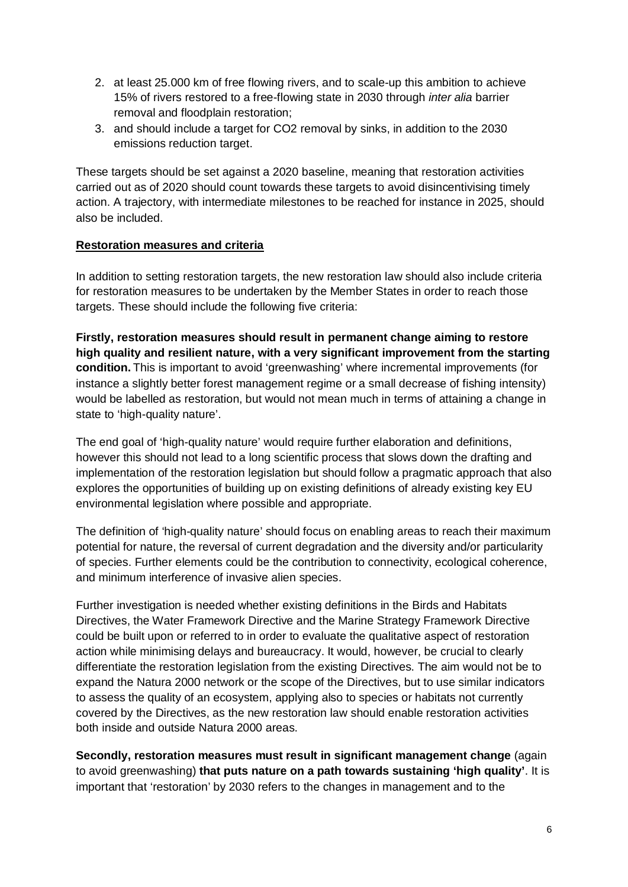- 2. at least 25.000 km of free flowing rivers, and to scale-up this ambition to achieve 15% of rivers restored to a free-flowing state in 2030 through *inter alia* barrier removal and floodplain restoration;
- 3. and should include a target for CO2 removal by sinks, in addition to the 2030 emissions reduction target.

These targets should be set against a 2020 baseline, meaning that restoration activities carried out as of 2020 should count towards these targets to avoid disincentivising timely action. A trajectory, with intermediate milestones to be reached for instance in 2025, should also be included.

#### **Restoration measures and criteria**

In addition to setting restoration targets, the new restoration law should also include criteria for restoration measures to be undertaken by the Member States in order to reach those targets. These should include the following five criteria:

**Firstly, restoration measures should result in permanent change aiming to restore high quality and resilient nature, with a very significant improvement from the starting condition.** This is important to avoid 'greenwashing' where incremental improvements (for instance a slightly better forest management regime or a small decrease of fishing intensity) would be labelled as restoration, but would not mean much in terms of attaining a change in state to 'high-quality nature'.

The end goal of 'high-quality nature' would require further elaboration and definitions, however this should not lead to a long scientific process that slows down the drafting and implementation of the restoration legislation but should follow a pragmatic approach that also explores the opportunities of building up on existing definitions of already existing key EU environmental legislation where possible and appropriate.

The definition of 'high-quality nature' should focus on enabling areas to reach their maximum potential for nature, the reversal of current degradation and the diversity and/or particularity of species. Further elements could be the contribution to connectivity, ecological coherence, and minimum interference of invasive alien species.

Further investigation is needed whether existing definitions in the Birds and Habitats Directives, the Water Framework Directive and the Marine Strategy Framework Directive could be built upon or referred to in order to evaluate the qualitative aspect of restoration action while minimising delays and bureaucracy. It would, however, be crucial to clearly differentiate the restoration legislation from the existing Directives. The aim would not be to expand the Natura 2000 network or the scope of the Directives, but to use similar indicators to assess the quality of an ecosystem, applying also to species or habitats not currently covered by the Directives, as the new restoration law should enable restoration activities both inside and outside Natura 2000 areas.

**Secondly, restoration measures must result in significant management change** (again to avoid greenwashing) **that puts nature on a path towards sustaining 'high quality'**. It is important that 'restoration' by 2030 refers to the changes in management and to the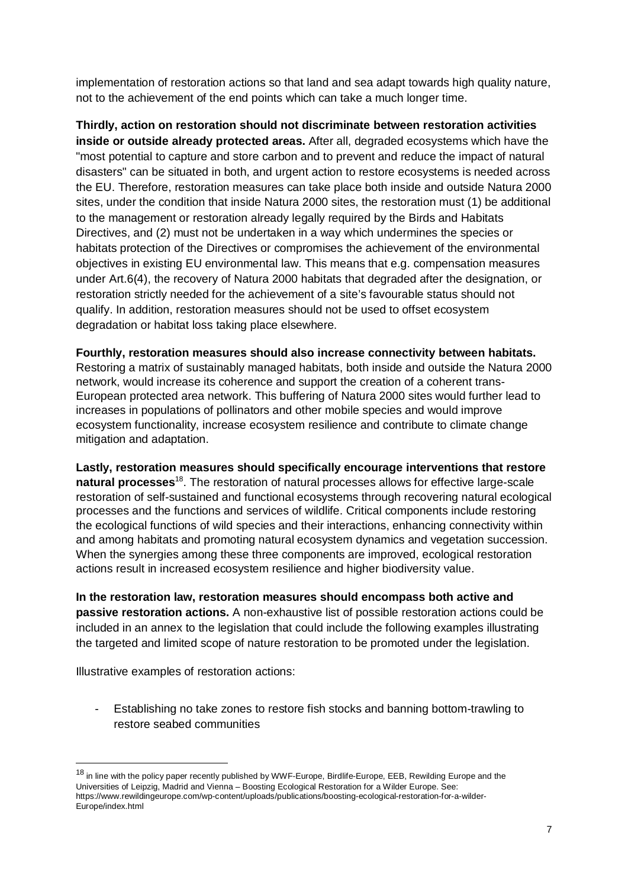implementation of restoration actions so that land and sea adapt towards high quality nature, not to the achievement of the end points which can take a much longer time.

**Thirdly, action on restoration should not discriminate between restoration activities inside or outside already protected areas.** After all, degraded ecosystems which have the "most potential to capture and store carbon and to prevent and reduce the impact of natural disasters" can be situated in both, and urgent action to restore ecosystems is needed across the EU. Therefore, restoration measures can take place both inside and outside Natura 2000 sites, under the condition that inside Natura 2000 sites, the restoration must (1) be additional to the management or restoration already legally required by the Birds and Habitats Directives, and (2) must not be undertaken in a way which undermines the species or habitats protection of the Directives or compromises the achievement of the environmental objectives in existing EU environmental law. This means that e.g. compensation measures under Art.6(4), the recovery of Natura 2000 habitats that degraded after the designation, or restoration strictly needed for the achievement of a site's favourable status should not qualify. In addition, restoration measures should not be used to offset ecosystem degradation or habitat loss taking place elsewhere.

**Fourthly, restoration measures should also increase connectivity between habitats.** Restoring a matrix of sustainably managed habitats, both inside and outside the Natura 2000 network, would increase its coherence and support the creation of a coherent trans-European protected area network. This buffering of Natura 2000 sites would further lead to increases in populations of pollinators and other mobile species and would improve ecosystem functionality, increase ecosystem resilience and contribute to climate change mitigation and adaptation.

**Lastly, restoration measures should specifically encourage interventions that restore natural processes**<sup>18</sup>. The restoration of natural processes allows for effective large-scale restoration of self-sustained and functional ecosystems through recovering natural ecological processes and the functions and services of wildlife. Critical components include restoring the ecological functions of wild species and their interactions, enhancing connectivity within and among habitats and promoting natural ecosystem dynamics and vegetation succession. When the synergies among these three components are improved, ecological restoration actions result in increased ecosystem resilience and higher biodiversity value.

**In the restoration law, restoration measures should encompass both active and passive restoration actions.** A non-exhaustive list of possible restoration actions could be included in an annex to the legislation that could include the following examples illustrating the targeted and limited scope of nature restoration to be promoted under the legislation.

Illustrative examples of restoration actions:

Establishing no take zones to restore fish stocks and banning bottom-trawling to restore seabed communities

<sup>&</sup>lt;sup>18</sup> in line with the policy paper recently published by WWF-Europe, Birdlife-Europe, EEB, Rewilding Europe and the Universities of Leipzig, Madrid and Vienna – Boosting Ecological Restoration for a Wilder Europe. See: https://www.rewildingeurope.com/wp-content/uploads/publications/boosting-ecological-restoration-for-a-wilder-Europe/index.html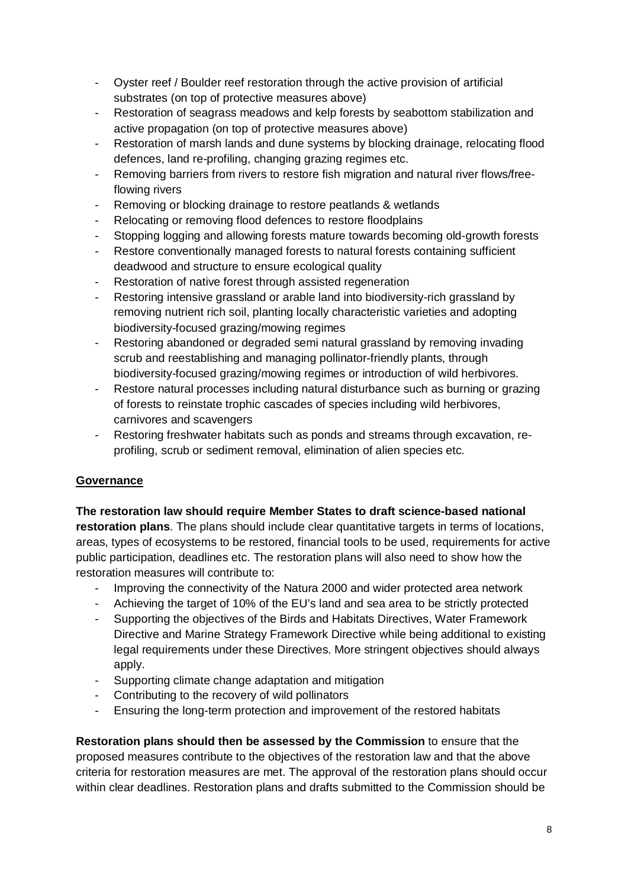- Oyster reef / Boulder reef restoration through the active provision of artificial substrates (on top of protective measures above)
- Restoration of seagrass meadows and kelp forests by seabottom stabilization and active propagation (on top of protective measures above)
- Restoration of marsh lands and dune systems by blocking drainage, relocating flood defences, land re-profiling, changing grazing regimes etc.
- Removing barriers from rivers to restore fish migration and natural river flows/freeflowing rivers
- Removing or blocking drainage to restore peatlands & wetlands
- Relocating or removing flood defences to restore floodplains
- Stopping logging and allowing forests mature towards becoming old-growth forests
- Restore conventionally managed forests to natural forests containing sufficient deadwood and structure to ensure ecological quality
- Restoration of native forest through assisted regeneration
- Restoring intensive grassland or arable land into biodiversity-rich grassland by removing nutrient rich soil, planting locally characteristic varieties and adopting biodiversity-focused grazing/mowing regimes
- Restoring abandoned or degraded semi natural grassland by removing invading scrub and reestablishing and managing pollinator-friendly plants, through biodiversity-focused grazing/mowing regimes or introduction of wild herbivores.
- Restore natural processes including natural disturbance such as burning or grazing of forests to reinstate trophic cascades of species including wild herbivores, carnivores and scavengers
- Restoring freshwater habitats such as ponds and streams through excavation, reprofiling, scrub or sediment removal, elimination of alien species etc.

# **Governance**

## **The restoration law should require Member States to draft science-based national**

**restoration plans**. The plans should include clear quantitative targets in terms of locations, areas, types of ecosystems to be restored, financial tools to be used, requirements for active public participation, deadlines etc. The restoration plans will also need to show how the restoration measures will contribute to:

- Improving the connectivity of the Natura 2000 and wider protected area network
- Achieving the target of 10% of the EU's land and sea area to be strictly protected
- Supporting the objectives of the Birds and Habitats Directives, Water Framework Directive and Marine Strategy Framework Directive while being additional to existing legal requirements under these Directives. More stringent objectives should always apply.
- Supporting climate change adaptation and mitigation
- Contributing to the recovery of wild pollinators
- Ensuring the long-term protection and improvement of the restored habitats

**Restoration plans should then be assessed by the Commission** to ensure that the proposed measures contribute to the objectives of the restoration law and that the above criteria for restoration measures are met. The approval of the restoration plans should occur within clear deadlines. Restoration plans and drafts submitted to the Commission should be